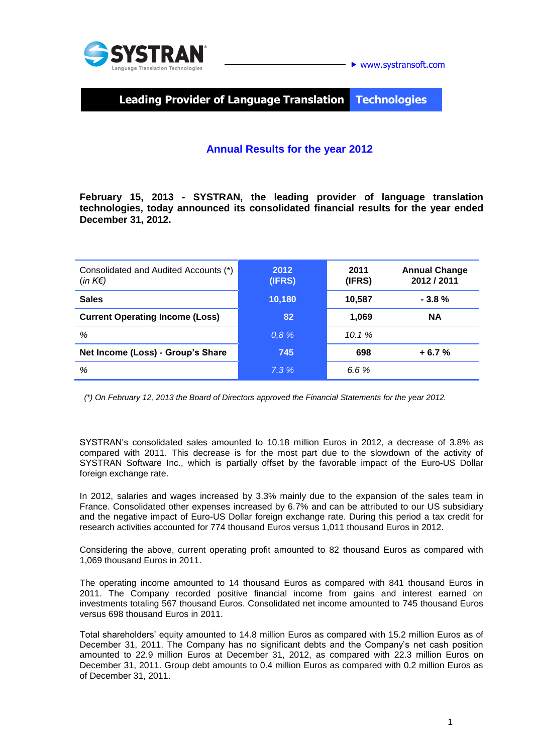

**Leading Provider of Language Translation Technologies**

# **Annual Results for the year 2012**

**February 15, 2013 - SYSTRAN, the leading provider of language translation technologies, today announced its consolidated financial results for the year ended December 31, 2012.**

| Consolidated and Audited Accounts (*)<br>$(in K \in )$ | 2012<br>(IFRS) | 2011<br>(IFRS) | <b>Annual Change</b><br>2012 / 2011 |
|--------------------------------------------------------|----------------|----------------|-------------------------------------|
| <b>Sales</b>                                           | 10,180         | 10,587         | $-3.8%$                             |
| <b>Current Operating Income (Loss)</b>                 | 82             | 1,069          | <b>NA</b>                           |
| %                                                      | 0.8%           | 10.1%          |                                     |
| Net Income (Loss) - Group's Share                      | 745            | 698            | $+6.7%$                             |
| %                                                      | 7.3%           | 6.6%           |                                     |

 *(\*) On February 12, 2013 the Board of Directors approved the Financial Statements for the year 2012.*

SYSTRAN's consolidated sales amounted to 10.18 million Euros in 2012, a decrease of 3.8% as compared with 2011. This decrease is for the most part due to the slowdown of the activity of SYSTRAN Software Inc., which is partially offset by the favorable impact of the Euro-US Dollar foreign exchange rate.

In 2012, salaries and wages increased by 3.3% mainly due to the expansion of the sales team in France. Consolidated other expenses increased by 6.7% and can be attributed to our US subsidiary and the negative impact of Euro-US Dollar foreign exchange rate. During this period a tax credit for research activities accounted for 774 thousand Euros versus 1,011 thousand Euros in 2012.

Considering the above, current operating profit amounted to 82 thousand Euros as compared with 1,069 thousand Euros in 2011.

The operating income amounted to 14 thousand Euros as compared with 841 thousand Euros in 2011. The Company recorded positive financial income from gains and interest earned on investments totaling 567 thousand Euros. Consolidated net income amounted to 745 thousand Euros versus 698 thousand Euros in 2011.

Total shareholders' equity amounted to 14.8 million Euros as compared with 15.2 million Euros as of December 31, 2011. The Company has no significant debts and the Company's net cash position amounted to 22.9 million Euros at December 31, 2012, as compared with 22.3 million Euros on December 31, 2011. Group debt amounts to 0.4 million Euros as compared with 0.2 million Euros as of December 31, 2011.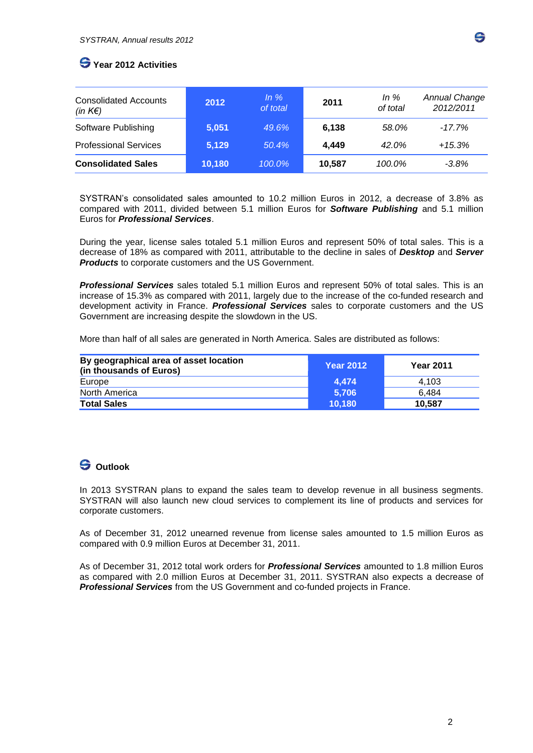# **Year 2012 Activities**

| <b>Consolidated Accounts</b><br>(in $K \in \mathcal{E}$ ) | 2012   | $\ln \%$<br>of total | 2011   | In $%$<br>of total | <b>Annual Change</b><br>2012/2011 |
|-----------------------------------------------------------|--------|----------------------|--------|--------------------|-----------------------------------|
| Software Publishing                                       | 5.051  | 49.6%                | 6,138  | 58.0%              | $-17.7\%$                         |
| <b>Professional Services</b>                              | 5,129  | 50.4%                | 4,449  | 42.0%              | $+15.3%$                          |
| <b>Consolidated Sales</b>                                 | 10,180 | 100.0%               | 10,587 | 100.0%             | $-3.8\%$                          |

SYSTRAN's consolidated sales amounted to 10.2 million Euros in 2012, a decrease of 3.8% as compared with 2011, divided between 5.1 million Euros for *Software Publishing* and 5.1 million Euros for *Professional Services*.

During the year, license sales totaled 5.1 million Euros and represent 50% of total sales. This is a decrease of 18% as compared with 2011, attributable to the decline in sales of *Desktop* and *Server Products* to corporate customers and the US Government.

*Professional Services* sales totaled 5.1 million Euros and represent 50% of total sales. This is an increase of 15.3% as compared with 2011, largely due to the increase of the co-funded research and development activity in France. *Professional Services* sales to corporate customers and the US Government are increasing despite the slowdown in the US.

More than half of all sales are generated in North America. Sales are distributed as follows:

| By geographical area of asset location<br>(in thousands of Euros) | <b>Year 2012</b> | <b>Year 2011</b> |
|-------------------------------------------------------------------|------------------|------------------|
| Europe                                                            | 4.474            | 4.103            |
| North America                                                     | 5.706            | 6.484            |
| <b>Total Sales</b>                                                | 10.180           | 10.587           |

# **Outlook**

In 2013 SYSTRAN plans to expand the sales team to develop revenue in all business segments. SYSTRAN will also launch new cloud services to complement its line of products and services for corporate customers.

As of December 31, 2012 unearned revenue from license sales amounted to 1.5 million Euros as compared with 0.9 million Euros at December 31, 2011.

As of December 31, 2012 total work orders for *Professional Services* amounted to 1.8 million Euros as compared with 2.0 million Euros at December 31, 2011. SYSTRAN also expects a decrease of *Professional Services* from the US Government and co-funded projects in France.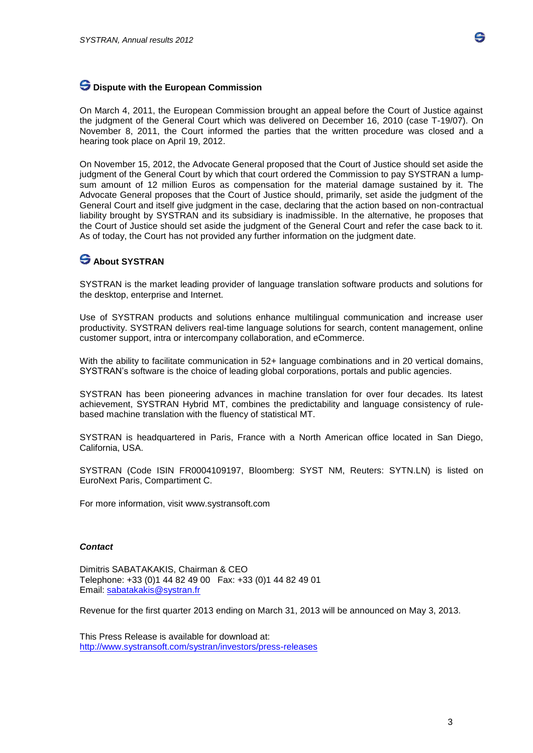

### **Dispute with the European Commission**

On March 4, 2011, the European Commission brought an appeal before the Court of Justice against the judgment of the General Court which was delivered on December 16, 2010 (case T-19/07). On November 8, 2011, the Court informed the parties that the written procedure was closed and a hearing took place on April 19, 2012.

On November 15, 2012, the Advocate General proposed that the Court of Justice should set aside the judgment of the General Court by which that court ordered the Commission to pay SYSTRAN a lumpsum amount of 12 million Euros as compensation for the material damage sustained by it. The Advocate General proposes that the Court of Justice should, primarily, set aside the judgment of the General Court and itself give judgment in the case, declaring that the action based on non-contractual liability brought by SYSTRAN and its subsidiary is inadmissible. In the alternative, he proposes that the Court of Justice should set aside the judgment of the General Court and refer the case back to it. As of today, the Court has not provided any further information on the judgment date.

## **About SYSTRAN**

SYSTRAN is the market leading provider of language translation software products and solutions for the desktop, enterprise and Internet.

Use of SYSTRAN products and solutions enhance multilingual communication and increase user productivity. SYSTRAN delivers real-time language solutions for search, content management, online customer support, intra or intercompany collaboration, and eCommerce.

With the ability to facilitate communication in 52+ language combinations and in 20 vertical domains, SYSTRAN's software is the choice of leading global corporations, portals and public agencies.

SYSTRAN has been pioneering advances in machine translation for over four decades. Its latest achievement, SYSTRAN Hybrid MT, combines the predictability and language consistency of rulebased machine translation with the fluency of statistical MT.

SYSTRAN is headquartered in Paris, France with a North American office located in San Diego, California, USA.

SYSTRAN (Code ISIN FR0004109197, Bloomberg: SYST NM, Reuters: SYTN.LN) is listed on EuroNext Paris, Compartiment C.

For more information, visit [www.systransoft.com](http://www.systransoft.com/)

#### *Contact*

Dimitris SABATAKAKIS, Chairman & CEO Telephone: +33 (0)1 44 82 49 00 Fax: +33 (0)1 44 82 49 01 Email: [sabatakakis@systran.fr](mailto:sabatakakis@systran.fr)

Revenue for the first quarter 2013 ending on March 31, 2013 will be announced on May 3, 2013.

This Press Release is available for download at: <http://www.systransoft.com/systran/investors/press-releases>